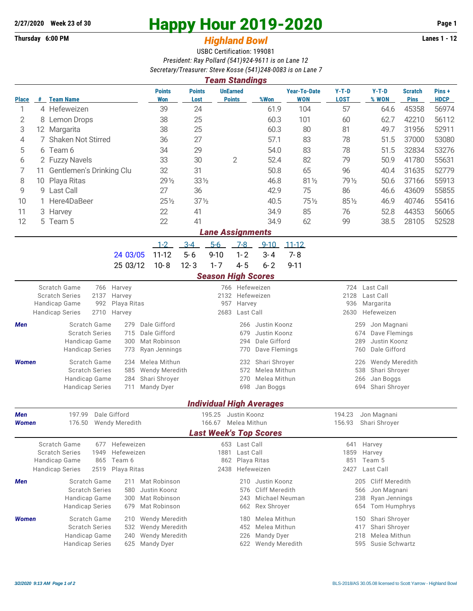## **Thursday 6:00 PM** *Highland Bowl*

## **2/27/2020** Week 23 of 30<br> **Happy Hour 2019-2020** Page 1<br> **Highland Rowl Lanes 1 - 12**<br>
Lanes 1 - 12

## USBC Certification: 199081 *President: Ray Pollard (541)924-9611 is on Lane 12 Secretary/Treasurer: Steve Kosse (541)248-0083 is on Lane 7*

| <b>Team Standings</b>         |                             |                                                                  |                              |                                            |                                                          |                           |                                  |                                 |                                        |                                     |                      |                               |                      |  |  |  |
|-------------------------------|-----------------------------|------------------------------------------------------------------|------------------------------|--------------------------------------------|----------------------------------------------------------|---------------------------|----------------------------------|---------------------------------|----------------------------------------|-------------------------------------|----------------------|-------------------------------|----------------------|--|--|--|
| <b>Place</b>                  | #                           | <b>Team Name</b>                                                 |                              | <b>Points</b><br>Won                       | <b>Points</b><br>Lost                                    |                           | <b>UnEarned</b><br><b>Points</b> | %Won                            | <b>Year-To-Date</b><br><b>WON</b>      | $Y-T-D$<br><b>LOST</b>              | $Y-T-D$<br>% WON     | <b>Scratch</b><br><b>Pins</b> | Pins+<br><b>HDCP</b> |  |  |  |
| 1                             |                             | 4 Hefeweizen                                                     |                              | 39                                         | 24                                                       |                           |                                  | 61.9                            | 104                                    | 57                                  | 64.6                 | 45358                         | 56974                |  |  |  |
| 2                             | 8                           | Lemon Drops                                                      |                              | 38                                         | 25                                                       |                           |                                  | 60.3                            | 101                                    | 60                                  | 62.7                 | 42210                         | 56112                |  |  |  |
| 3                             |                             | 12 Margarita                                                     |                              | 38                                         | 25                                                       |                           |                                  | 60.3                            | 80                                     | 81                                  | 49.7                 | 31956                         | 52911                |  |  |  |
| 4                             |                             | 7 Shaken Not Stirred                                             |                              | 36                                         | 27                                                       |                           |                                  | 57.1                            | 83                                     | 78                                  | 51.5                 | 37000                         | 53080                |  |  |  |
| 5                             |                             | 6 Team 6                                                         |                              | 34                                         | 29                                                       |                           |                                  | 54.0                            | 83                                     | 78                                  | 51.5                 | 32834                         | 53276                |  |  |  |
| 6                             |                             | 2 Fuzzy Navels                                                   |                              | 33                                         | 30                                                       |                           | $\mathbf{2}$                     | 52.4                            | 82                                     | 79                                  | 50.9                 | 41780                         | 55631                |  |  |  |
| 7                             | 11 Gentlemen's Drinking Clu |                                                                  |                              | 32                                         | 31                                                       |                           |                                  | 50.8                            | 65                                     | 96                                  | 40.4                 | 31635                         | 52779                |  |  |  |
| 8<br>Playa Ritas<br>10        |                             |                                                                  | $29\frac{1}{2}$              | 33 1/2                                     |                                                          |                           | 46.8                             | 81 1/2                          | 79 1/2                                 | 50.6                                | 37166                | 55913                         |                      |  |  |  |
| 9                             |                             | 9 Last Call                                                      |                              | 27                                         | 36                                                       |                           |                                  | 42.9                            | 75                                     | 86                                  | 46.6                 | 43609                         | 55855                |  |  |  |
| 10                            |                             | Here4DaBeer                                                      |                              | $25\%$                                     |                                                          | $37\%$                    |                                  | 40.5                            | $75\frac{1}{2}$                        | 851/2                               | 46.9                 | 40746                         | 55416                |  |  |  |
| 11                            |                             | 3 Harvey                                                         |                              | 22                                         | 41                                                       |                           |                                  | 34.9                            | 85                                     | 76                                  | 52.8                 | 44353                         | 56065                |  |  |  |
| 12                            |                             | 5 Team 5                                                         |                              | 22                                         | 41                                                       |                           |                                  | 34.9                            | 62                                     | 99                                  | 38.5                 | 28105                         | 52528                |  |  |  |
| <b>Lane Assignments</b>       |                             |                                                                  |                              |                                            |                                                          |                           |                                  |                                 |                                        |                                     |                      |                               |                      |  |  |  |
|                               |                             |                                                                  |                              | $1 - 2$                                    | $3 - 4$                                                  | $5-6$                     | $7 - 8$                          | $9 - 10$                        | $11 - 12$                              |                                     |                      |                               |                      |  |  |  |
|                               |                             |                                                                  | 24 03/05                     | $11 - 12$                                  | $5 - 6$                                                  | $9 - 10$                  | $1 - 2$                          | $3 - 4$                         | $7 - 8$                                |                                     |                      |                               |                      |  |  |  |
|                               |                             |                                                                  | 25 03/12                     | $10 - 8$                                   | $12 - 3$                                                 | $1 - 7$                   | $4 - 5$                          | $6 - 2$                         | $9 - 11$                               |                                     |                      |                               |                      |  |  |  |
|                               |                             |                                                                  |                              |                                            |                                                          | <b>Season High Scores</b> |                                  |                                 |                                        |                                     |                      |                               |                      |  |  |  |
|                               |                             | Scratch Game                                                     | 766 Harvey                   |                                            |                                                          |                           | 766 Hefeweizen                   |                                 |                                        |                                     | 724 Last Call        |                               |                      |  |  |  |
|                               |                             | <b>Scratch Series</b><br>2137                                    |                              |                                            |                                                          | 2132 Hefeweizen           |                                  |                                 | 2128<br>Last Call                      |                                     |                      |                               |                      |  |  |  |
|                               |                             | Handicap Game<br>992<br><b>Handicap Series</b><br>2710<br>Harvey |                              |                                            | 957<br>2683                                              | Harvey<br>Last Call       |                                  |                                 | 936<br>Margarita<br>2630<br>Hefeweizen |                                     |                      |                               |                      |  |  |  |
|                               |                             |                                                                  |                              |                                            |                                                          |                           |                                  |                                 | 259                                    |                                     |                      |                               |                      |  |  |  |
| Men                           |                             | Scratch Game<br><b>Scratch Series</b>                            | Dale Gifford<br>Dale Gifford | Justin Koonz<br>266<br>Justin Koonz<br>679 |                                                          |                           |                                  |                                 |                                        | Jon Magnani<br>674<br>Dave Flemings |                      |                               |                      |  |  |  |
|                               |                             | Handicap Game                                                    | Mat Robinson                 | Dale Gifford<br>294                        |                                                          |                           |                                  |                                 |                                        | Justin Koonz<br>289                 |                      |                               |                      |  |  |  |
|                               |                             | <b>Handicap Series</b>                                           | Ryan Jennings                |                                            |                                                          | 770                       | Dave Flemings                    |                                 | Dale Gifford<br>760                    |                                     |                      |                               |                      |  |  |  |
| <b>Women</b>                  |                             | Scratch Game                                                     | Melea Mithun                 | Shari Shroyer<br>232                       |                                                          |                           |                                  |                                 |                                        | Wendy Meredith<br>226               |                      |                               |                      |  |  |  |
|                               |                             | <b>Scratch Series</b>                                            | 585                          |                                            | Wendy Meredith<br>Melea Mithun<br>572                    |                           |                                  |                                 |                                        |                                     | 538<br>Shari Shroyer |                               |                      |  |  |  |
|                               |                             | Handicap Game                                                    | 284                          | Shari Shroyer                              |                                                          |                           | 270                              | Melea Mithun                    |                                        | Jan Boggs<br>266                    |                      |                               |                      |  |  |  |
|                               |                             | <b>Handicap Series</b>                                           | 711                          | Mandy Dyer                                 |                                                          | 698<br>Jan Boggs          |                                  |                                 |                                        | 694<br>Shari Shroyer                |                      |                               |                      |  |  |  |
|                               |                             |                                                                  |                              |                                            |                                                          |                           |                                  | <b>Individual High Averages</b> |                                        |                                     |                      |                               |                      |  |  |  |
| Men                           |                             | 197.99                                                           | Dale Gifford                 |                                            |                                                          | 195.25 Justin Koonz       |                                  |                                 |                                        | 194.23                              | Jon Magnani          |                               |                      |  |  |  |
| <b>Women</b>                  |                             | 176.50 Wendy Meredith                                            |                              |                                            |                                                          | 166.67 Melea Mithun       |                                  |                                 |                                        | 156.93 Shari Shroyer                |                      |                               |                      |  |  |  |
| <b>Last Week's Top Scores</b> |                             |                                                                  |                              |                                            |                                                          |                           |                                  |                                 |                                        |                                     |                      |                               |                      |  |  |  |
|                               |                             | <b>Scratch Game</b><br>677<br><b>Scratch Series</b><br>1949      | Hefeweizen<br>Hefeweizen     |                                            |                                                          |                           | 653 Last Call<br>1881 Last Call  |                                 |                                        | 641<br>1859                         | Harvey<br>Harvey     |                               |                      |  |  |  |
|                               |                             | Handicap Game<br>865<br>Team 6                                   |                              |                                            | 862 Playa Ritas                                          |                           |                                  | 851<br>Team 5                   |                                        |                                     |                      |                               |                      |  |  |  |
|                               |                             | <b>Handicap Series</b><br>2519<br>Playa Ritas                    |                              | Hefeweizen<br>2438                         |                                                          |                           |                                  |                                 | Last Call<br>2427                      |                                     |                      |                               |                      |  |  |  |
| Men                           |                             | Scratch Game                                                     | 211                          | Mat Robinson                               |                                                          |                           | 210                              | Justin Koonz                    |                                        |                                     | 205 Cliff Meredith   |                               |                      |  |  |  |
|                               |                             | <b>Scratch Series</b>                                            | 580                          | Justin Koonz                               |                                                          |                           | 576                              | Cliff Meredith                  |                                        |                                     | Jon Magnani<br>566   |                               |                      |  |  |  |
|                               |                             | Handicap Game                                                    | Mat Robinson                 |                                            | 243<br>Michael Neuman                                    |                           |                                  |                                 |                                        | 238<br>Ryan Jennings                |                      |                               |                      |  |  |  |
|                               |                             | <b>Handicap Series</b>                                           | 679                          | Mat Robinson                               |                                                          |                           | 662                              | Rex Shroyer                     |                                        |                                     | 654<br>Tom Humphrys  |                               |                      |  |  |  |
| <b>Women</b>                  |                             | Scratch Game                                                     | 210<br>532                   | Wendy Meredith                             |                                                          |                           | 180                              | Melea Mithun                    |                                        |                                     | Shari Shroyer<br>150 |                               |                      |  |  |  |
|                               |                             | <b>Scratch Series</b>                                            | Wendy Meredith               |                                            | 452<br>Melea Mithun<br>Shari Shroyer<br>417              |                           |                                  |                                 |                                        |                                     |                      |                               |                      |  |  |  |
|                               |                             | Handicap Game<br><b>Handicap Series</b>                          | Wendy Meredith<br>Mandy Dyer |                                            | Mandy Dyer<br>226<br>218<br>Wendy Meredith<br>622<br>595 |                           |                                  |                                 |                                        | Melea Mithun                        |                      |                               |                      |  |  |  |
|                               |                             |                                                                  |                              |                                            |                                                          |                           |                                  |                                 | Susie Schwartz                         |                                     |                      |                               |                      |  |  |  |